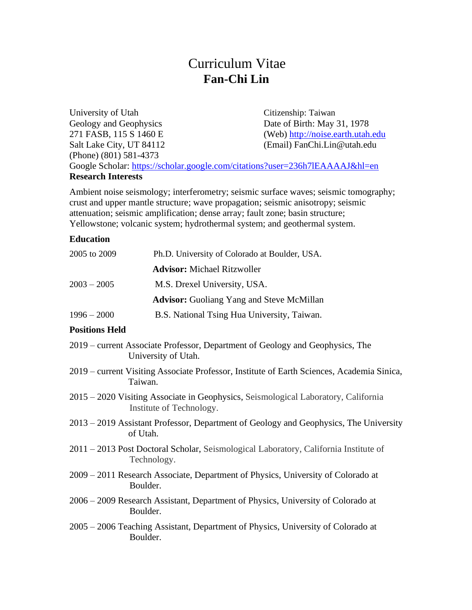# Curriculum Vitae **Fan-Chi Lin**

University of Utah Citizenship: Taiwan Geology and Geophysics Date of Birth: May 31, 1978 271 FASB, 115 S 1460 E (Web) [http://noise.earth.utah.edu](http://noise.earth.utah.edu/) Salt Lake City, UT 84112 (Email) FanChi.Lin@utah.edu (Phone) (801) 581-4373 Google Scholar:<https://scholar.google.com/citations?user=236h7lEAAAAJ&hl=en>

#### **Research Interests**

Ambient noise seismology; interferometry; seismic surface waves; seismic tomography; crust and upper mantle structure; wave propagation; seismic anisotropy; seismic attenuation; seismic amplification; dense array; fault zone; basin structure; Yellowstone; volcanic system; hydrothermal system; and geothermal system.

### **Education**

| 2005 to 2009  | Ph.D. University of Colorado at Boulder, USA.    |
|---------------|--------------------------------------------------|
|               | <b>Advisor:</b> Michael Ritzwoller               |
| $2003 - 2005$ | M.S. Drexel University, USA.                     |
|               | <b>Advisor:</b> Guoliang Yang and Steve McMillan |
| $1996 - 2000$ | B.S. National Tsing Hua University, Taiwan.      |
|               |                                                  |

### **Positions Held**

- 2019 current Associate Professor, Department of Geology and Geophysics, The University of Utah.
- 2019 current Visiting Associate Professor, Institute of Earth Sciences, Academia Sinica, Taiwan.
- 2015 2020 Visiting Associate in Geophysics, Seismological Laboratory, California Institute of Technology.
- 2013 2019 Assistant Professor, Department of Geology and Geophysics, The University of Utah.
- 2011 2013 Post Doctoral Scholar, Seismological Laboratory, California Institute of Technology.
- 2009 2011 Research Associate, Department of Physics, University of Colorado at Boulder.
- 2006 2009 Research Assistant, Department of Physics, University of Colorado at Boulder.
- 2005 2006 Teaching Assistant, Department of Physics, University of Colorado at Boulder.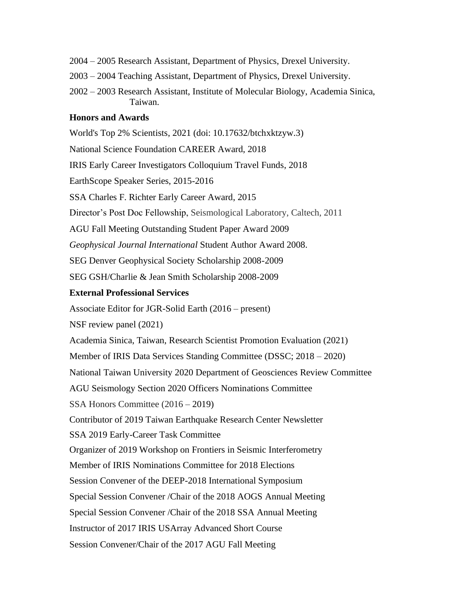- 2004 2005 Research Assistant, Department of Physics, Drexel University.
- 2003 2004 Teaching Assistant, Department of Physics, Drexel University.
- 2002 2003 Research Assistant, Institute of Molecular Biology, Academia Sinica, Taiwan.

#### **Honors and Awards**

World's Top 2% Scientists, 2021 (doi: 10.17632/btchxktzyw.3) National Science Foundation CAREER Award, 2018 IRIS Early Career Investigators Colloquium Travel Funds, 2018 EarthScope Speaker Series, 2015-2016 SSA Charles F. Richter Early Career Award, 2015 Director's Post Doc Fellowship, Seismological Laboratory, Caltech, 2011 AGU Fall Meeting Outstanding Student Paper Award 2009 *Geophysical Journal International* Student Author Award 2008. SEG Denver Geophysical Society Scholarship 2008-2009 SEG GSH/Charlie & Jean Smith Scholarship 2008-2009 **External Professional Services** Associate Editor for JGR-Solid Earth (2016 – present) NSF review panel (2021) Academia Sinica, Taiwan, Research Scientist Promotion Evaluation (2021) Member of IRIS Data Services Standing Committee (DSSC; 2018 – 2020) National Taiwan University 2020 Department of Geosciences Review Committee AGU Seismology Section 2020 Officers Nominations Committee SSA Honors Committee (2016 – 2019) Contributor of 2019 Taiwan Earthquake Research Center Newsletter SSA 2019 Early-Career Task Committee Organizer of 2019 Workshop on Frontiers in Seismic Interferometry Member of IRIS Nominations Committee for 2018 Elections Session Convener of the DEEP-2018 International Symposium Special Session Convener /Chair of the 2018 AOGS Annual Meeting Special Session Convener /Chair of the 2018 SSA Annual Meeting Instructor of 2017 IRIS USArray Advanced Short Course Session Convener/Chair of the 2017 AGU Fall Meeting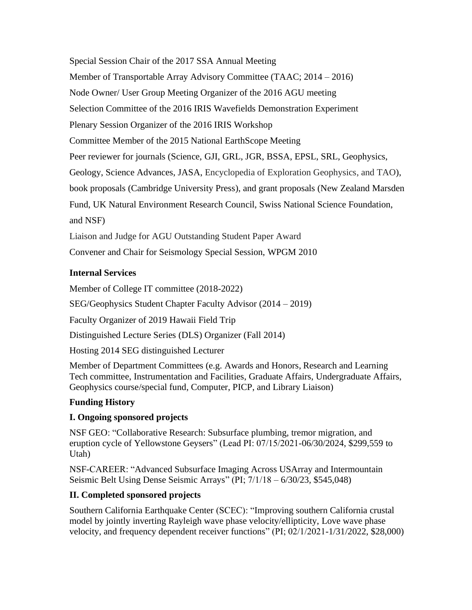Special Session Chair of the 2017 SSA Annual Meeting Member of Transportable Array Advisory Committee (TAAC; 2014 – 2016) Node Owner/ User Group Meeting Organizer of the 2016 AGU meeting Selection Committee of the 2016 IRIS Wavefields Demonstration Experiment Plenary Session Organizer of the 2016 IRIS Workshop Committee Member of the 2015 National EarthScope Meeting Peer reviewer for journals (Science, GJI, GRL, JGR, BSSA, EPSL, SRL, Geophysics, Geology, Science Advances, JASA, Encyclopedia of Exploration Geophysics, and TAO), book proposals (Cambridge University Press), and grant proposals (New Zealand Marsden Fund, UK Natural Environment Research Council, Swiss National Science Foundation, and NSF)

Liaison and Judge for AGU Outstanding Student Paper Award

Convener and Chair for Seismology Special Session, WPGM 2010

## **Internal Services**

Member of College IT committee (2018-2022)

SEG/Geophysics Student Chapter Faculty Advisor (2014 – 2019)

Faculty Organizer of 2019 Hawaii Field Trip

Distinguished Lecture Series (DLS) Organizer (Fall 2014)

Hosting 2014 SEG distinguished Lecturer

Member of Department Committees (e.g. Awards and Honors, Research and Learning Tech committee, Instrumentation and Facilities, Graduate Affairs, Undergraduate Affairs, Geophysics course/special fund, Computer, PICP, and Library Liaison)

# **Funding History**

# **I. Ongoing sponsored projects**

NSF GEO: "Collaborative Research: Subsurface plumbing, tremor migration, and eruption cycle of Yellowstone Geysers" (Lead PI: 07/15/2021-06/30/2024, \$299,559 to Utah)

NSF-CAREER: "Advanced Subsurface Imaging Across USArray and Intermountain Seismic Belt Using Dense Seismic Arrays" (PI; 7/1/18 – 6/30/23, \$545,048)

# **II. Completed sponsored projects**

Southern California Earthquake Center (SCEC): "Improving southern California crustal model by jointly inverting Rayleigh wave phase velocity/ellipticity, Love wave phase velocity, and frequency dependent receiver functions" (PI; 02/1/2021-1/31/2022, \$28,000)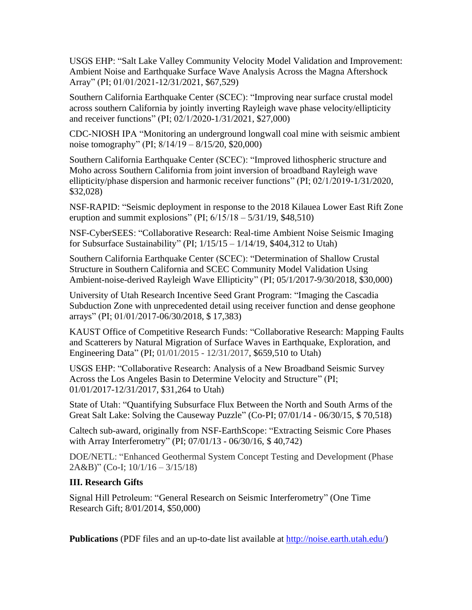USGS EHP: "Salt Lake Valley Community Velocity Model Validation and Improvement: Ambient Noise and Earthquake Surface Wave Analysis Across the Magna Aftershock Array" (PI; 01/01/2021-12/31/2021, \$67,529)

Southern California Earthquake Center (SCEC): "Improving near surface crustal model across southern California by jointly inverting Rayleigh wave phase velocity/ellipticity and receiver functions" (PI; 02/1/2020-1/31/2021, \$27,000)

CDC-NIOSH IPA "Monitoring an underground longwall coal mine with seismic ambient noise tomography" (PI; 8/14/19 – 8/15/20, \$20,000)

Southern California Earthquake Center (SCEC): "Improved lithospheric structure and Moho across Southern California from joint inversion of broadband Rayleigh wave ellipticity/phase dispersion and harmonic receiver functions" (PI; 02/1/2019-1/31/2020, \$32,028)

NSF-RAPID: "Seismic deployment in response to the 2018 Kilauea Lower East Rift Zone eruption and summit explosions" (PI;  $6/15/18 - 5/31/19$ , \$48,510)

NSF-CyberSEES: "Collaborative Research: Real-time Ambient Noise Seismic Imaging for Subsurface Sustainability" (PI; 1/15/15 – 1/14/19, \$404,312 to Utah)

Southern California Earthquake Center (SCEC): "Determination of Shallow Crustal Structure in Southern California and SCEC Community Model Validation Using Ambient-noise-derived Rayleigh Wave Ellipticity" (PI; 05/1/2017-9/30/2018, \$30,000)

University of Utah Research Incentive Seed Grant Program: "Imaging the Cascadia Subduction Zone with unprecedented detail using receiver function and dense geophone arrays" (PI; 01/01/2017-06/30/2018, \$ 17,383)

KAUST Office of Competitive Research Funds: "Collaborative Research: Mapping Faults and Scatterers by Natural Migration of Surface Waves in Earthquake, Exploration, and Engineering Data" (PI; 01/01/2015 - 12/31/2017, \$659,510 to Utah)

USGS EHP: "Collaborative Research: Analysis of a New Broadband Seismic Survey Across the Los Angeles Basin to Determine Velocity and Structure" (PI; 01/01/2017-12/31/2017, \$31,264 to Utah)

State of Utah: "Quantifying Subsurface Flux Between the North and South Arms of the Great Salt Lake: Solving the Causeway Puzzle" (Co-PI; 07/01/14 - 06/30/15, \$ 70,518)

Caltech sub-award, originally from NSF-EarthScope: "Extracting Seismic Core Phases with Array Interferometry" (PI; 07/01/13 - 06/30/16, \$ 40,742)

DOE/NETL: "Enhanced Geothermal System Concept Testing and Development (Phase 2A&B)" (Co-I; 10/1/16 – 3/15/18)

# **III. Research Gifts**

Signal Hill Petroleum: "General Research on Seismic Interferometry" (One Time Research Gift; 8/01/2014, \$50,000)

**Publications** (PDF files and an up-to-date list available at [http://noise.earth.utah.edu/\)](http://noise.earth.utah.edu/)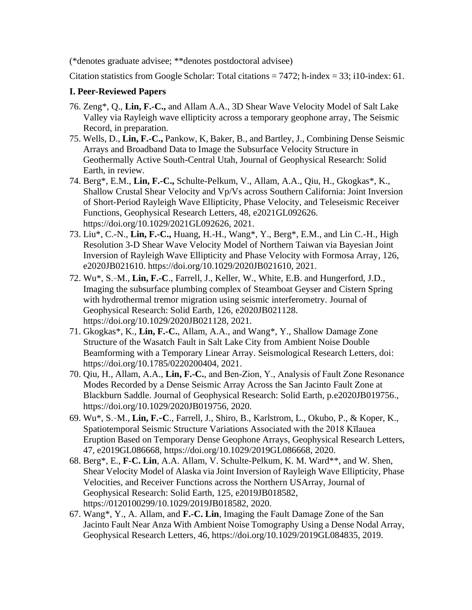(\*denotes graduate advisee; \*\*denotes postdoctoral advisee)

Citation statistics from Google Scholar: Total citations =  $7472$ ; h-index = 33; i10-index: 61.

### **I. Peer-Reviewed Papers**

- 76. Zeng\*, Q., **Lin, F.-C.,** and Allam A.A., 3D Shear Wave Velocity Model of Salt Lake Valley via Rayleigh wave ellipticity across a temporary geophone array, The Seismic Record, in preparation.
- 75. Wells, D., **Lin, F.-C.,** Pankow, K, Baker, B., and Bartley, J., Combining Dense Seismic Arrays and Broadband Data to Image the Subsurface Velocity Structure in Geothermally Active South-Central Utah, Journal of Geophysical Research: Solid Earth, in review.
- 74. Berg\*, E.M., **Lin, F.-C.,** Schulte-Pelkum, V., Allam, A.A., Qiu, H., Gkogkas\*, K., Shallow Crustal Shear Velocity and Vp/Vs across Southern California: Joint Inversion of Short-Period Rayleigh Wave Ellipticity, Phase Velocity, and Teleseismic Receiver Functions, Geophysical Research Letters, 48, e2021GL092626. https://doi.org/10.1029/2021GL092626, 2021.
- 73. Liu\*, C.-N., **Lin, F.-C.,** Huang, H.-H., Wang\*, Y., Berg\*, E.M., and Lin C.-H., High Resolution 3-D Shear Wave Velocity Model of Northern Taiwan via Bayesian Joint Inversion of Rayleigh Wave Ellipticity and Phase Velocity with Formosa Array, 126, e2020JB021610. https://doi.org/10.1029/2020JB021610, 2021.
- 72. Wu\*, S.‐M., **Lin, F.-C**., Farrell, J., Keller, W., White, E.B. and Hungerford, J.D., Imaging the subsurface plumbing complex of Steamboat Geyser and Cistern Spring with hydrothermal tremor migration using seismic interferometry. Journal of Geophysical Research: Solid Earth, 126, e2020JB021128. https://doi.org/10.1029/2020JB021128, 2021.
- 71. Gkogkas\*, K., **Lin, F.-C.**, Allam, A.A., and Wang\*, Y., Shallow Damage Zone Structure of the Wasatch Fault in Salt Lake City from Ambient Noise Double Beamforming with a Temporary Linear Array. Seismological Research Letters, doi: https://doi.org/10.1785/0220200404, 2021.
- 70. Qiu, H., Allam, A.A., **Lin, F.-C.**, and Ben‐Zion, Y., Analysis of Fault Zone Resonance Modes Recorded by a Dense Seismic Array Across the San Jacinto Fault Zone at Blackburn Saddle. Journal of Geophysical Research: Solid Earth, p.e2020JB019756., https://doi.org/10.1029/2020JB019756, 2020.
- 69. Wu\*, S.‐M., **Lin, F.**‐**C**., Farrell, J., Shiro, B., Karlstrom, L., Okubo, P., & Koper, K., Spatiotemporal Seismic Structure Variations Associated with the 2018 Kīlauea Eruption Based on Temporary Dense Geophone Arrays, Geophysical Research Letters, 47, e2019GL086668, https://doi.org/10.1029/2019GL086668, 2020.
- 68. Berg\*, E., **F-C. Lin**, A.A. Allam, V. Schulte-Pelkum, K. M. Ward\*\*, and W. Shen, Shear Velocity Model of Alaska via Joint Inversion of Rayleigh Wave Ellipticity, Phase Velocities, and Receiver Functions across the Northern USArray, Journal of Geophysical Research: Solid Earth, 125, e2019JB018582, https://0120100299/10.1029/2019JB018582, 2020.
- 67. Wang\*, Y., A. Allam, and **F.-C. Lin**, Imaging the Fault Damage Zone of the San Jacinto Fault Near Anza With Ambient Noise Tomography Using a Dense Nodal Array, Geophysical Research Letters, 46, https://doi.org/10.1029/2019GL084835, 2019.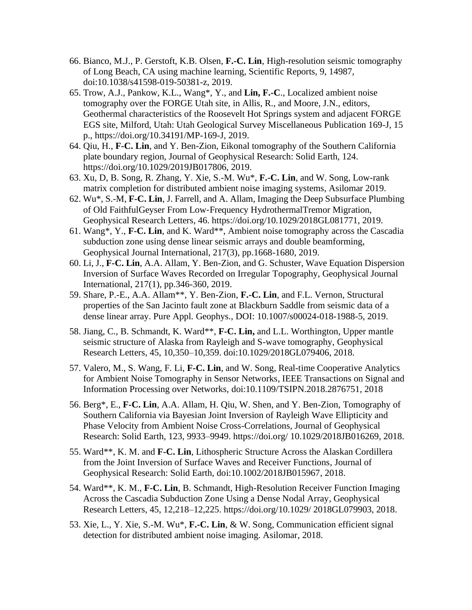- 66. Bianco, M.J., P. Gerstoft, K.B. Olsen, **F.-C. Lin**, High-resolution seismic tomography of Long Beach, CA using machine learning, Scientific Reports, 9, 14987, doi:10.1038/s41598-019-50381-z, 2019.
- 65. Trow, A.J., Pankow, K.L., Wang\*, Y., and **Lin, F.-C**., Localized ambient noise tomography over the FORGE Utah site, in Allis, R., and Moore, J.N., editors, Geothermal characteristics of the Roosevelt Hot Springs system and adjacent FORGE EGS site, Milford, Utah: Utah Geological Survey Miscellaneous Publication 169-J, 15 p., https://doi.org/10.34191/MP-169-J, 2019.
- 64. Qiu, H., **F-C. Lin**, and Y. Ben-Zion, Eikonal tomography of the Southern California plate boundary region, Journal of Geophysical Research: Solid Earth, 124. https://doi.org/10.1029/2019JB017806, 2019.
- 63. Xu, D, B. Song, R. Zhang, Y. Xie, S.-M. Wu\*, **F.-C. Lin**, and W. Song, Low-rank matrix completion for distributed ambient noise imaging systems, Asilomar 2019.
- 62. Wu\*, S.-M, **F-C. Lin**, J. Farrell, and A. Allam, Imaging the Deep Subsurface Plumbing of Old FaithfulGeyser From Low‐Frequency HydrothermalTremor Migration, Geophysical Research Letters, 46. https://doi.org/10.1029/2018GL081771, 2019.
- 61. Wang\*, Y., **F-C. Lin**, and K. Ward\*\*, Ambient noise tomography across the Cascadia subduction zone using dense linear seismic arrays and double beamforming, Geophysical Journal International, 217(3), pp.1668-1680, 2019.
- 60. Li, J., **F-C. Lin**, A.A. Allam, Y. Ben-Zion, and G. Schuster, Wave Equation Dispersion Inversion of Surface Waves Recorded on Irregular Topography, Geophysical Journal International, 217(1), pp.346-360, 2019.
- 59. Share, P.-E., A.A. Allam\*\*, Y. Ben-Zion, **F.-C. Lin**, and F.L. Vernon, Structural properties of the San Jacinto fault zone at Blackburn Saddle from seismic data of a dense linear array. Pure Appl. Geophys., DOI: 10.1007/s00024-018-1988-5, 2019.
- 58. Jiang, C., B. Schmandt, K. Ward\*\*, **F-C. Lin,** and L.L. Worthington, Upper mantle seismic structure of Alaska from Rayleigh and S-wave tomography, Geophysical Research Letters, 45, 10,350–10,359. doi:10.1029/2018GL079406, 2018.
- 57. Valero, M., S. Wang, F. Li, **F-C. Lin**, and W. Song, Real-time Cooperative Analytics for Ambient Noise Tomography in Sensor Networks, IEEE Transactions on Signal and Information Processing over Networks, doi:10.1109/TSIPN.2018.2876751, 2018
- 56. Berg\*, E., **F-C. Lin**, A.A. Allam, H. Qiu, W. Shen, and Y. Ben-Zion, Tomography of Southern California via Bayesian Joint Inversion of Rayleigh Wave Ellipticity and Phase Velocity from Ambient Noise Cross-Correlations, Journal of Geophysical Research: Solid Earth, 123, 9933–9949. https://doi.org/ 10.1029/2018JB016269, 2018.
- 55. Ward\*\*, K. M. and **F-C. Lin**, Lithospheric Structure Across the Alaskan Cordillera from the Joint Inversion of Surface Waves and Receiver Functions, Journal of Geophysical Research: Solid Earth, doi:10.1002/2018JB015967, 2018.
- 54. Ward\*\*, K. M., **F-C. Lin**, B. Schmandt, High-Resolution Receiver Function Imaging Across the Cascadia Subduction Zone Using a Dense Nodal Array, Geophysical Research Letters, 45, 12,218–12,225. https://doi.org/10.1029/ 2018GL079903, 2018.
- 53. Xie, L., Y. Xie, S.-M. Wu\*, **F.-C. Lin**, & W. Song, Communication efficient signal detection for distributed ambient noise imaging. Asilomar, 2018.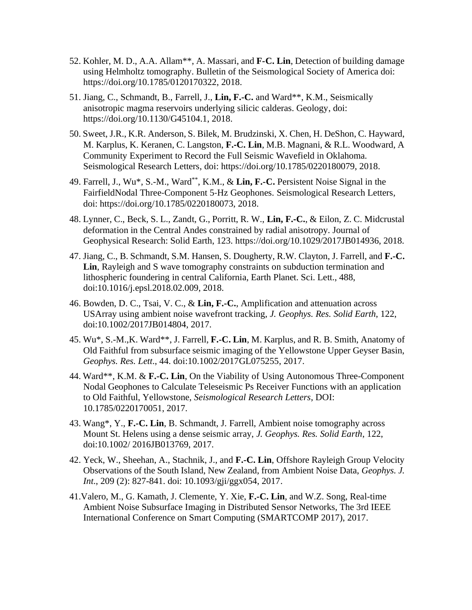- 52. Kohler, M. D., A.A. Allam\*\*, A. Massari, and **F-C. Lin**, Detection of building damage using Helmholtz tomography. Bulletin of the Seismological Society of America doi: https://doi.org/10.1785/0120170322, 2018.
- 51. Jiang, C., Schmandt, B., Farrell, J., **Lin, F.-C.** and Ward\*\*, K.M., Seismically anisotropic magma reservoirs underlying silicic calderas. Geology, doi: https://doi.org/10.1130/G45104.1, 2018.
- 50. Sweet, J.R., K.R. Anderson, S. Bilek, M. Brudzinski, X. Chen, H. DeShon, C. Hayward, M. Karplus, K. Keranen, C. Langston, **F.‐C. Lin**, M.B. Magnani, & R.L. Woodward, A Community Experiment to Record the Full Seismic Wavefield in Oklahoma. Seismological Research Letters, doi: https://doi.org/10.1785/0220180079, 2018.
- 49. Farrell, J., Wu\*, S.-M., Ward\*\*, K.M., & **Lin, F.-C.** Persistent Noise Signal in the FairfieldNodal Three‐Component 5‐Hz Geophones. Seismological Research Letters, doi: https://doi.org/10.1785/0220180073, 2018.
- 48. Lynner, C., Beck, S. L., Zandt, G., Porritt, R. W., **Lin, F.‐C.**, & Eilon, Z. C. Midcrustal deformation in the Central Andes constrained by radial anisotropy. Journal of Geophysical Research: Solid Earth, 123. https://doi.org/10.1029/2017JB014936, 2018.
- 47. Jiang, C., B. Schmandt, S.M. Hansen, S. Dougherty, R.W. Clayton, J. Farrell, and **F.-C. Lin**, Rayleigh and S wave tomography constraints on subduction termination and lithospheric foundering in central California, Earth Planet. Sci. Lett., 488, doi:10.1016/j.epsl.2018.02.009, 2018.
- 46. Bowden, D. C., Tsai, V. C., & **Lin, F.-C.**, Amplification and attenuation across USArray using ambient noise wavefront tracking, *J. Geophys. Res. Solid Earth*, 122, doi:10.1002/2017JB014804, 2017.
- 45. Wu\*, S.-M.,K. Ward\*\*, J. Farrell, **F.-C. Lin**, M. Karplus, and R. B. Smith, Anatomy of Old Faithful from subsurface seismic imaging of the Yellowstone Upper Geyser Basin, *Geophys. Res. Lett*., 44. doi:10.1002/2017GL075255, 2017.
- 44. Ward\*\*, K.M. & **F.-C. Lin**, On the Viability of Using Autonomous Three-Component Nodal Geophones to Calculate Teleseismic Ps Receiver Functions with an application to Old Faithful, Yellowstone, *Seismological Research Letters*, DOI: 10.1785/0220170051, 2017.
- 43. Wang\*, Y., **F.-C. Lin**, B. Schmandt, J. Farrell, Ambient noise tomography across Mount St. Helens using a dense seismic array, *J. Geophys. Res. Solid Earth*, 122, doi:10.1002/ 2016JB013769, 2017.
- 42. Yeck, W., Sheehan, A., Stachnik, J., and **F.-C. Lin**, Offshore Rayleigh Group Velocity Observations of the South Island, New Zealand, from Ambient Noise Data, *Geophys. J. Int*., 209 (2): 827-841. doi: 10.1093/gji/ggx054, 2017.
- 41.Valero, M., G. Kamath, J. Clemente, Y. Xie, **F.-C. Lin**, and W.Z. Song, Real-time Ambient Noise Subsurface Imaging in Distributed Sensor Networks, The 3rd IEEE International Conference on Smart Computing (SMARTCOMP 2017), 2017.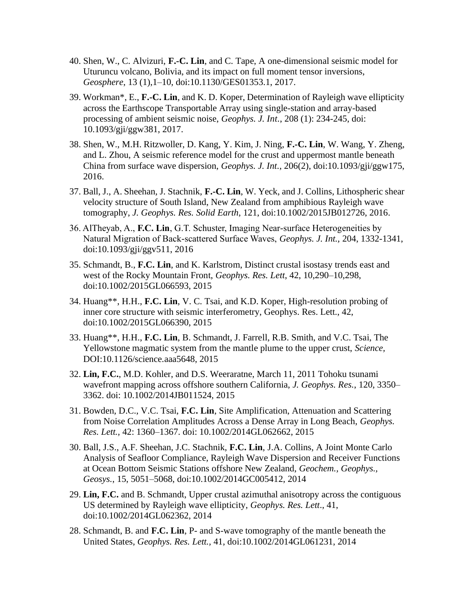- 40. Shen, W., C. Alvizuri, **F.-C. Lin**, and C. Tape, A one-dimensional seismic model for Uturuncu volcano, Bolivia, and its impact on full moment tensor inversions, *Geosphere*, 13 (1),1–10, doi:10.1130/GES01353.1, 2017.
- 39. Workman\*, E., **F.-C. Lin**, and K. D. Koper, Determination of Rayleigh wave ellipticity across the Earthscope Transportable Array using single-station and array-based processing of ambient seismic noise, *Geophys. J. Int*., 208 (1): 234-245, doi: 10.1093/gji/ggw381, 2017.
- 38. Shen, W., M.H. Ritzwoller, D. Kang, Y. Kim, J. Ning, **F.-C. Lin**, W. Wang, Y. Zheng, and L. Zhou, A seismic reference model for the crust and uppermost mantle beneath China from surface wave dispersion, *Geophys. J. Int*., 206(2), doi:10.1093/gji/ggw175, 2016.
- 37. Ball, J., A. Sheehan, J. Stachnik, **F.-C. Lin**, W. Yeck, and J. Collins, Lithospheric shear velocity structure of South Island, New Zealand from amphibious Rayleigh wave tomography, *J. Geophys. Res. Solid Earth*, 121, doi:10.1002/2015JB012726, 2016.
- 36. AlTheyab, A., **F.C. Lin**, G.T. Schuster, Imaging Near-surface Heterogeneities by Natural Migration of Back-scattered Surface Waves, *Geophys. J. Int.,* 204, 1332-1341, doi:10.1093/gji/ggv511, 2016
- 35. Schmandt, B., **F.C. Lin**, and K. Karlstrom, Distinct crustal isostasy trends east and west of the Rocky Mountain Front, *Geophys. Res. Lett*, 42, 10,290–10,298, doi:10.1002/2015GL066593, 2015
- 34. Huang\*\*, H.H., **F.C. Lin**, V. C. Tsai, and K.D. Koper, High-resolution probing of inner core structure with seismic interferometry, Geophys. Res. Lett., 42, doi:10.1002/2015GL066390, 2015
- 33. Huang\*\*, H.H., **F.C. Lin**, B. Schmandt, J. Farrell, R.B. Smith, and V.C. Tsai, The Yellowstone magmatic system from the mantle plume to the upper crust, *Science,* DOI:10.1126/science.aaa5648, 2015
- 32. **Lin, F.C.**, M.D. Kohler, and D.S. Weeraratne, March 11, 2011 Tohoku tsunami wavefront mapping across offshore southern California, *J. Geophys. Res.*, 120, 3350– 3362. doi: 10.1002/2014JB011524, 2015
- 31. Bowden, D.C., V.C. Tsai, **F.C. Lin**, Site Amplification, Attenuation and Scattering from Noise Correlation Amplitudes Across a Dense Array in Long Beach, *Geophys. Res. Lett.,* 42: 1360–1367. doi: 10.1002/2014GL062662, 2015
- 30. Ball, J.S., A.F. Sheehan, J.C. Stachnik, **F.C. Lin**, J.A. Collins, A Joint Monte Carlo Analysis of Seafloor Compliance, Rayleigh Wave Dispersion and Receiver Functions at Ocean Bottom Seismic Stations offshore New Zealand, *Geochem., Geophys., Geosys.*, 15, 5051–5068, doi:10.1002/2014GC005412, 2014
- 29. **Lin, F.C.** and B. Schmandt, Upper crustal azimuthal anisotropy across the contiguous US determined by Rayleigh wave ellipticity, *Geophys. Res. Lett*., 41, doi:10.1002/2014GL062362, 2014
- 28. Schmandt, B. and **F.C. Lin**, P- and S-wave tomography of the mantle beneath the United States, *Geophys. Res. Lett.,* 41, doi:10.1002/2014GL061231, 2014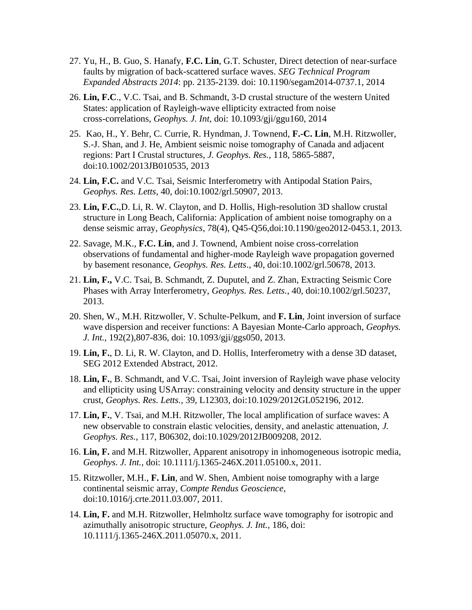- 27. Yu, H., B. Guo, S. Hanafy, **F.C. Lin**, G.T. Schuster, Direct detection of near-surface faults by migration of back-scattered surface waves. *SEG Technical Program Expanded Abstracts 2014*: pp. 2135-2139. doi: 10.1190/segam2014-0737.1, 2014
- 26. **Lin, F.C**., V.C. Tsai, and B. Schmandt, 3-D crustal structure of the western United States: application of Rayleigh-wave ellipticity extracted from noise cross-correlations, *Geophys. J. Int*, doi: 10.1093/gji/ggu160, 2014
- 25. Kao, H., Y. Behr, C. Currie, R. Hyndman, J. Townend, **F.-C. Lin**, M.H. Ritzwoller, S.-J. Shan, and J. He, Ambient seismic noise tomography of Canada and adjacent regions: Part I Crustal structures, *J. Geophys. Res.,* 118, 5865-5887, doi:10.1002/2013JB010535, 2013
- 24. **Lin, F.C.** and V.C. Tsai, Seismic Interferometry with Antipodal Station Pairs, *Geophys. Res. Letts*, 40, doi:10.1002/grl.50907, 2013.
- 23. **Lin, F.C.**,D. Li, R. W. Clayton, and D. Hollis, High-resolution 3D shallow crustal structure in Long Beach, California: Application of ambient noise tomography on a dense seismic array, *Geophysics*, 78(4), Q45-Q56,doi:10.1190/geo2012-0453.1, 2013.
- 22. Savage, M.K., **F.C. Lin**, and J. Townend, Ambient noise cross-correlation observations of fundamental and higher-mode Rayleigh wave propagation governed by basement resonance, *Geophys. Res. Letts*., 40, doi:10.1002/grl.50678, 2013.
- 21. **Lin, F.,** V.C. Tsai, B. Schmandt, Z. Duputel, and Z. Zhan, Extracting Seismic Core Phases with Array Interferometry, *Geophys. Res. Letts.,* 40, doi:10.1002/grl.50237, 2013.
- 20. Shen, W., M.H. Ritzwoller, V. Schulte-Pelkum, and **F. Lin**, Joint inversion of surface wave dispersion and receiver functions: A Bayesian Monte-Carlo approach, *Geophys. J. Int.,* 192(2),807-836, doi: 10.1093/gji/ggs050, 2013.
- 19. **Lin, F.**, D. Li, R. W. Clayton, and D. Hollis, Interferometry with a dense 3D dataset, SEG 2012 Extended Abstract, 2012.
- 18. **Lin, F.**, B. Schmandt, and V.C. Tsai, Joint inversion of Rayleigh wave phase velocity and ellipticity using USArray: constraining velocity and density structure in the upper crust, *Geophys. Res. Letts.,* 39, L12303, doi:10.1029/2012GL052196, 2012.
- 17. **Lin, F.**, V. Tsai, and M.H. Ritzwoller, The local amplification of surface waves: A new observable to constrain elastic velocities, density, and anelastic attenuation, *J. Geophys. Res.*, 117, B06302, doi:10.1029/2012JB009208, 2012.
- 16. **Lin, F.** and M.H. Ritzwoller, Apparent anisotropy in inhomogeneous isotropic media, *Geophys. J. Int.,* doi: 10.1111/j.1365-246X.2011.05100.x, 2011.
- 15. Ritzwoller, M.H., **F. Lin**, and W. Shen, Ambient noise tomography with a large continental seismic array, *Compte Rendus Geoscience*, doi:10.1016/j.crte.2011.03.007, 2011.
- 14. **Lin, F.** and M.H. Ritzwoller, Helmholtz surface wave tomography for isotropic and azimuthally anisotropic structure, *Geophys. J. Int.,* 186, doi: 10.1111/j.1365-246X.2011.05070.x, 2011.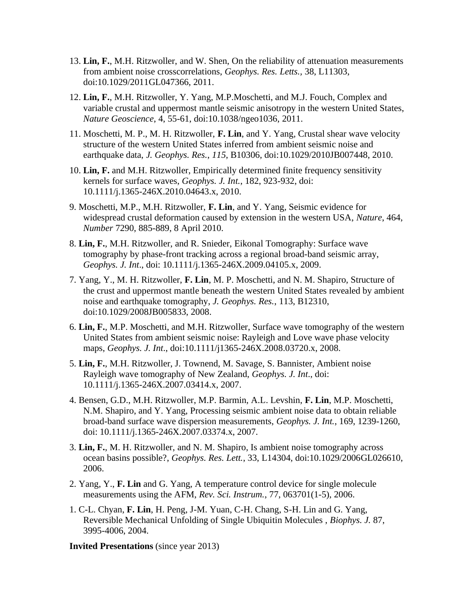- 13. **Lin, F.**, M.H. Ritzwoller, and W. Shen, On the reliability of attenuation measurements from ambient noise crosscorrelations, *Geophys. Res. Letts.,* 38, L11303, doi:10.1029/2011GL047366, 2011.
- 12. **Lin, F.**, M.H. Ritzwoller, Y. Yang, M.P.Moschetti, and M.J. Fouch, Complex and variable crustal and uppermost mantle seismic anisotropy in the western United States, *Nature Geoscience*, 4, 55-61, doi:10.1038/ngeo1036, 2011.
- 11. Moschetti, M. P., M. H. Ritzwoller, **F. Lin**, and Y. Yang, Crustal shear wave velocity structure of the western United States inferred from ambient seismic noise and earthquake data, *J. Geophys. Res.*, *115*, B10306, doi:10.1029/2010JB007448, 2010.
- 10. **Lin, F.** and M.H. Ritzwoller, Empirically determined finite frequency sensitivity kernels for surface waves, *Geophys. J. Int.*, 182, 923-932, doi: 10.1111/j.1365-246X.2010.04643.x, 2010.
- 9. Moschetti, M.P., M.H. Ritzwoller, **F. Lin**, and Y. Yang, Seismic evidence for widespread crustal deformation caused by extension in the western USA, *Nature*, 464, *Number* 7290, 885-889, 8 April 2010.
- 8. **Lin, F.**, M.H. Ritzwoller, and R. Snieder, Eikonal Tomography: Surface wave tomography by phase-front tracking across a regional broad-band seismic array, *Geophys. J. Int*., doi: 10.1111/j.1365-246X.2009.04105.x, 2009.
- 7. Yang, Y., M. H. Ritzwoller, **F. Lin**, M. P. Moschetti, and N. M. Shapiro, Structure of the crust and uppermost mantle beneath the western United States revealed by ambient noise and earthquake tomography, *J. Geophys. Res.*, 113, B12310, doi:10.1029/2008JB005833, 2008.
- 6. **Lin, F.**, M.P. Moschetti, and M.H. Ritzwoller, Surface wave tomography of the western United States from ambient seismic noise: Rayleigh and Love wave phase velocity maps, *Geophys. J. Int*., doi:10.1111/j1365-246X.2008.03720.x, 2008.
- 5. **Lin, F.**, M.H. Ritzwoller, J. Townend, M. Savage, S. Bannister, Ambient noise Rayleigh wave tomography of New Zealand, *Geophys. J. Int*., doi: 10.1111/j.1365-246X.2007.03414.x, 2007.
- 4. Bensen, G.D., M.H. Ritzwoller, M.P. Barmin, A.L. Levshin, **F. Lin**, M.P. Moschetti, N.M. Shapiro, and Y. Yang, Processing seismic ambient noise data to obtain reliable broad-band surface wave dispersion measurements, *Geophys. J. Int.*, 169, 1239-1260, doi: 10.1111/j.1365-246X.2007.03374.x, 2007.
- 3. **Lin, F.**, M. H. Ritzwoller, and N. M. Shapiro, Is ambient noise tomography across ocean basins possible?, *Geophys. Res. Lett.*, 33, L14304, doi:10.1029/2006GL026610, 2006.
- 2. Yang, Y., **F. Lin** and G. Yang, A temperature control device for single molecule measurements using the AFM, *Rev. Sci. Instrum.*, 77, 063701(1-5), 2006.
- 1. C-L. Chyan, **F. Lin**, H. Peng, J-M. Yuan, C-H. Chang, S-H. Lin and G. Yang, Reversible Mechanical Unfolding of Single Ubiquitin Molecules , *Biophys. J.* 87, 3995-4006, 2004.

**Invited Presentations** (since year 2013)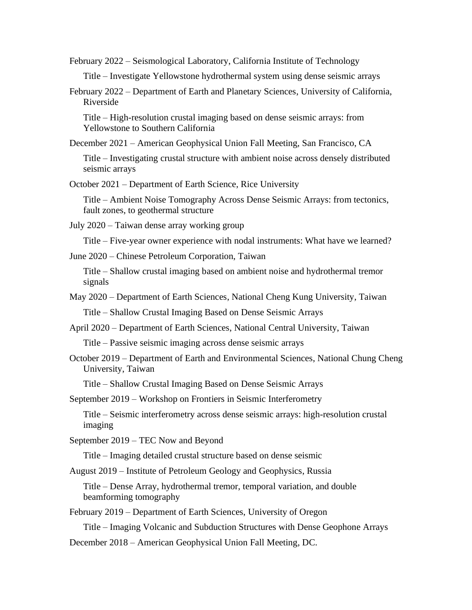February 2022 – Seismological Laboratory, California Institute of Technology

Title – Investigate Yellowstone hydrothermal system using dense seismic arrays

February 2022 – Department of Earth and Planetary Sciences, University of California, Riverside

Title – High-resolution crustal imaging based on dense seismic arrays: from Yellowstone to Southern California

December 2021 – American Geophysical Union Fall Meeting, San Francisco, CA

Title – Investigating crustal structure with ambient noise across densely distributed seismic arrays

October 2021 – Department of Earth Science, Rice University

Title – Ambient Noise Tomography Across Dense Seismic Arrays: from tectonics, fault zones, to geothermal structure

July 2020 – Taiwan dense array working group

Title – Five-year owner experience with nodal instruments: What have we learned?

June 2020 – Chinese Petroleum Corporation, Taiwan

Title – Shallow crustal imaging based on ambient noise and hydrothermal tremor signals

- May 2020 Department of Earth Sciences, National Cheng Kung University, Taiwan Title – Shallow Crustal Imaging Based on Dense Seismic Arrays
- April 2020 Department of Earth Sciences, National Central University, Taiwan

Title – Passive seismic imaging across dense seismic arrays

October 2019 – Department of Earth and Environmental Sciences, National Chung Cheng University, Taiwan

Title – Shallow Crustal Imaging Based on Dense Seismic Arrays

September 2019 – Workshop on Frontiers in Seismic Interferometry

Title – Seismic interferometry across dense seismic arrays: high-resolution crustal imaging

September 2019 – TEC Now and Beyond

Title – Imaging detailed crustal structure based on dense seismic

August 2019 – Institute of Petroleum Geology and Geophysics, Russia

Title – Dense Array, hydrothermal tremor, temporal variation, and double beamforming tomography

February 2019 – Department of Earth Sciences, University of Oregon

Title – Imaging Volcanic and Subduction Structures with Dense Geophone Arrays

December 2018 – American Geophysical Union Fall Meeting, DC.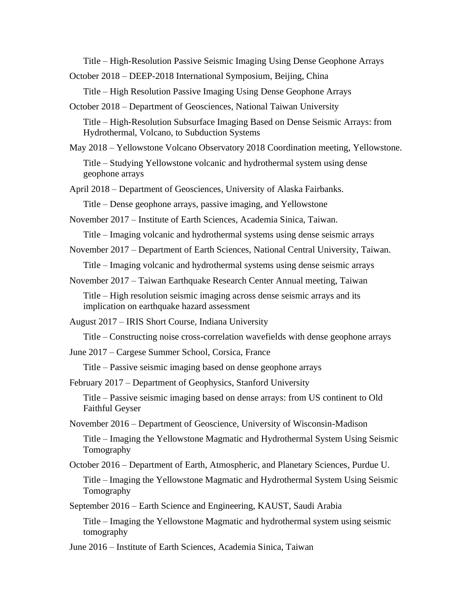Title – High-Resolution Passive Seismic Imaging Using Dense Geophone Arrays

October 2018 – DEEP-2018 International Symposium, Beijing, China

Title – High Resolution Passive Imaging Using Dense Geophone Arrays

October 2018 – Department of Geosciences, National Taiwan University

Title – High-Resolution Subsurface Imaging Based on Dense Seismic Arrays: from Hydrothermal, Volcano, to Subduction Systems

May 2018 – Yellowstone Volcano Observatory 2018 Coordination meeting, Yellowstone.

Title – Studying Yellowstone volcanic and hydrothermal system using dense geophone arrays

April 2018 – Department of Geosciences, University of Alaska Fairbanks.

Title – Dense geophone arrays, passive imaging, and Yellowstone

November 2017 – Institute of Earth Sciences, Academia Sinica, Taiwan.

Title – Imaging volcanic and hydrothermal systems using dense seismic arrays

November 2017 – Department of Earth Sciences, National Central University, Taiwan.

Title – Imaging volcanic and hydrothermal systems using dense seismic arrays

November 2017 – Taiwan Earthquake Research Center Annual meeting, Taiwan

Title – High resolution seismic imaging across dense seismic arrays and its implication on earthquake hazard assessment

August 2017 – IRIS Short Course, Indiana University

Title – Constructing noise cross-correlation wavefields with dense geophone arrays

June 2017 – Cargese Summer School, Corsica, France

Title – Passive seismic imaging based on dense geophone arrays

February 2017 – Department of Geophysics, Stanford University

Title – Passive seismic imaging based on dense arrays: from US continent to Old Faithful Geyser

November 2016 – Department of Geoscience, University of Wisconsin-Madison

Title – Imaging the Yellowstone Magmatic and Hydrothermal System Using Seismic Tomography

October 2016 – Department of Earth, Atmospheric, and Planetary Sciences, Purdue U.

Title – Imaging the Yellowstone Magmatic and Hydrothermal System Using Seismic Tomography

September 2016 – Earth Science and Engineering, KAUST, Saudi Arabia

Title – Imaging the Yellowstone Magmatic and hydrothermal system using seismic tomography

June 2016 – Institute of Earth Sciences, Academia Sinica, Taiwan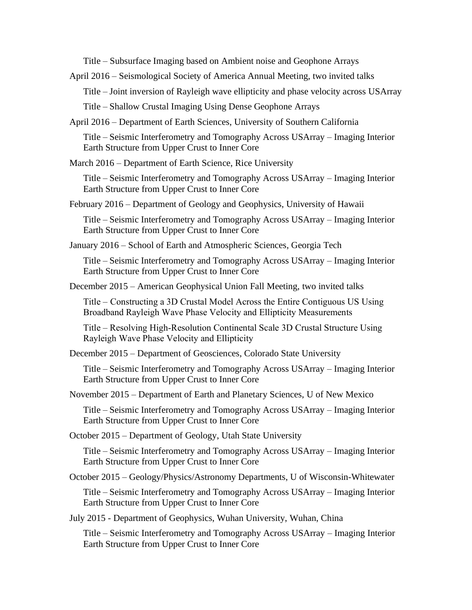Title – Subsurface Imaging based on Ambient noise and Geophone Arrays

April 2016 – Seismological Society of America Annual Meeting, two invited talks

Title – Joint inversion of Rayleigh wave ellipticity and phase velocity across USArray

Title – Shallow Crustal Imaging Using Dense Geophone Arrays

April 2016 – Department of Earth Sciences, University of Southern California

Title – Seismic Interferometry and Tomography Across USArray – Imaging Interior Earth Structure from Upper Crust to Inner Core

March 2016 – Department of Earth Science, Rice University

Title – Seismic Interferometry and Tomography Across USArray – Imaging Interior Earth Structure from Upper Crust to Inner Core

February 2016 – Department of Geology and Geophysics, University of Hawaii

Title – Seismic Interferometry and Tomography Across USArray – Imaging Interior Earth Structure from Upper Crust to Inner Core

January 2016 – School of Earth and Atmospheric Sciences, Georgia Tech

Title – Seismic Interferometry and Tomography Across USArray – Imaging Interior Earth Structure from Upper Crust to Inner Core

December 2015 – American Geophysical Union Fall Meeting, two invited talks

Title – Constructing a 3D Crustal Model Across the Entire Contiguous US Using Broadband Rayleigh Wave Phase Velocity and Ellipticity Measurements

Title – Resolving High-Resolution Continental Scale 3D Crustal Structure Using Rayleigh Wave Phase Velocity and Ellipticity

December 2015 – Department of Geosciences, Colorado State University

Title – Seismic Interferometry and Tomography Across USArray – Imaging Interior Earth Structure from Upper Crust to Inner Core

November 2015 – Department of Earth and Planetary Sciences, U of New Mexico

Title – Seismic Interferometry and Tomography Across USArray – Imaging Interior Earth Structure from Upper Crust to Inner Core

October 2015 – Department of Geology, Utah State University

Title – Seismic Interferometry and Tomography Across USArray – Imaging Interior Earth Structure from Upper Crust to Inner Core

October 2015 – Geology/Physics/Astronomy Departments, U of Wisconsin-Whitewater

Title – Seismic Interferometry and Tomography Across USArray – Imaging Interior Earth Structure from Upper Crust to Inner Core

July 2015 - Department of Geophysics, Wuhan University, Wuhan, China

Title – Seismic Interferometry and Tomography Across USArray – Imaging Interior Earth Structure from Upper Crust to Inner Core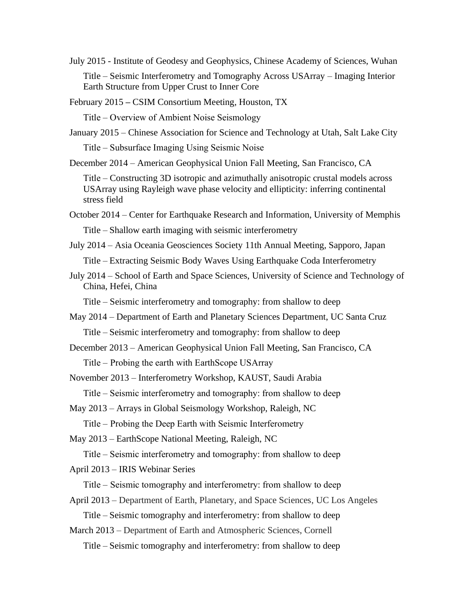July 2015 - Institute of Geodesy and Geophysics, Chinese Academy of Sciences, Wuhan Title – Seismic Interferometry and Tomography Across USArray – Imaging Interior Earth Structure from Upper Crust to Inner Core

February 2015 **–** CSIM Consortium Meeting, Houston, TX

Title – Overview of Ambient Noise Seismology

January 2015 – Chinese Association for Science and Technology at Utah, Salt Lake City

Title – Subsurface Imaging Using Seismic Noise

December 2014 – American Geophysical Union Fall Meeting, San Francisco, CA

Title – Constructing 3D isotropic and azimuthally anisotropic crustal models across USArray using Rayleigh wave phase velocity and ellipticity: inferring continental stress field

- October 2014 Center for Earthquake Research and Information, University of Memphis Title – Shallow earth imaging with seismic interferometry
- July 2014 Asia Oceania Geosciences Society 11th Annual Meeting, Sapporo, Japan Title – Extracting Seismic Body Waves Using Earthquake Coda Interferometry
- July 2014 School of Earth and Space Sciences, University of Science and Technology of China, Hefei, China

Title – Seismic interferometry and tomography: from shallow to deep

- May 2014 Department of Earth and Planetary Sciences Department, UC Santa Cruz Title – Seismic interferometry and tomography: from shallow to deep
- December 2013 American Geophysical Union Fall Meeting, San Francisco, CA Title – Probing the earth with EarthScope USArray
- November 2013 Interferometry Workshop, [KAUST, Saudi Arabia](http://www.kaust.edu.sa/)

Title – Seismic interferometry and tomography: from shallow to deep

May 2013 – Arrays in Global Seismology Workshop, Raleigh, NC

Title – Probing the Deep Earth with Seismic Interferometry

May 2013 – EarthScope National Meeting, Raleigh, NC

Title – Seismic interferometry and tomography: from shallow to deep

April 2013 – IRIS Webinar Series

Title – Seismic tomography and interferometry: from shallow to deep

- April 2013 Department of Earth, Planetary, and Space Sciences, UC Los Angeles Title – Seismic tomography and interferometry: from shallow to deep
- March 2013 Department of Earth and Atmospheric Sciences, Cornell Title – Seismic tomography and interferometry: from shallow to deep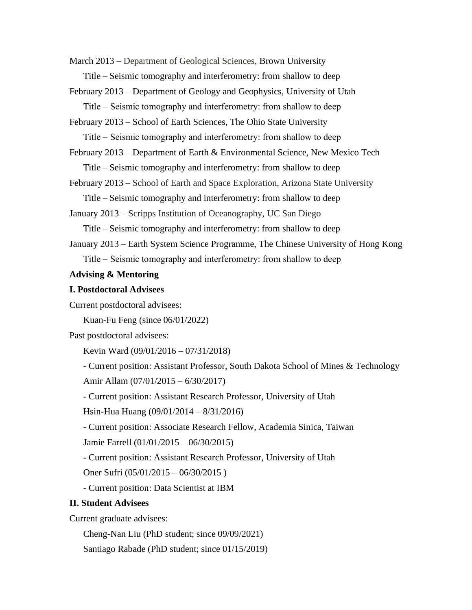March 2013 – Department of Geological Sciences, Brown University

Title – Seismic tomography and interferometry: from shallow to deep

February 2013 – Department of Geology and Geophysics, University of Utah

Title – Seismic tomography and interferometry: from shallow to deep

February 2013 – School of Earth Sciences, The Ohio State University

Title – Seismic tomography and interferometry: from shallow to deep

February 2013 – Department of Earth & Environmental Science, New Mexico Tech Title – Seismic tomography and interferometry: from shallow to deep

February 2013 – School of Earth and Space Exploration, Arizona State University Title – Seismic tomography and interferometry: from shallow to deep

January 2013 – Scripps Institution of Oceanography, UC San Diego

Title – Seismic tomography and interferometry: from shallow to deep

January 2013 – Earth System Science Programme, The Chinese University of Hong Kong Title – Seismic tomography and interferometry: from shallow to deep

### **Advising & Mentoring**

#### **I. Postdoctoral Advisees**

Current postdoctoral advisees:

Kuan-Fu Feng (since 06/01/2022)

Past postdoctoral advisees:

Kevin Ward (09/01/2016 – 07/31/2018)

- Current position: Assistant Professor, South Dakota School of Mines & Technology Amir Allam (07/01/2015 – 6/30/2017)

- Current position: Assistant Research Professor, University of Utah

Hsin-Hua Huang (09/01/2014 – 8/31/2016)

- Current position: Associate Research Fellow, Academia Sinica, Taiwan

Jamie Farrell (01/01/2015 – 06/30/2015)

- Current position: Assistant Research Professor, University of Utah

Oner Sufri (05/01/2015 – 06/30/2015 )

- Current position: Data Scientist at IBM

### **II. Student Advisees**

Current graduate advisees:

Cheng-Nan Liu (PhD student; since 09/09/2021)

Santiago Rabade (PhD student; since 01/15/2019)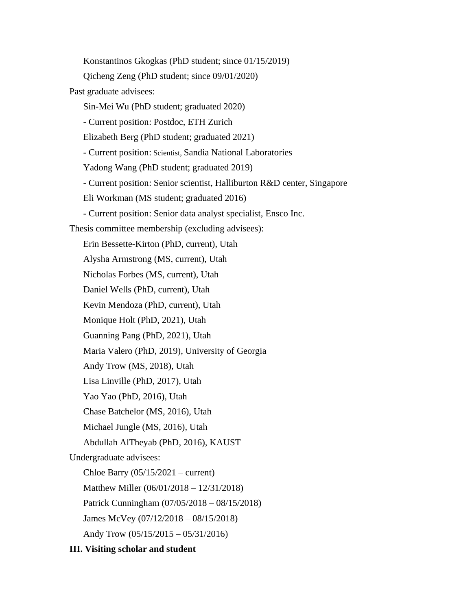Konstantinos Gkogkas (PhD student; since 01/15/2019) Qicheng Zeng (PhD student; since 09/01/2020) Past graduate advisees: Sin-Mei Wu (PhD student; graduated 2020) - Current position: Postdoc, ETH Zurich Elizabeth Berg (PhD student; graduated 2021) - Current position: Scientist, Sandia National Laboratories Yadong Wang (PhD student; graduated 2019) - Current position: Senior scientist, Halliburton R&D center, Singapore Eli Workman (MS student; graduated 2016) - Current position: Senior data analyst specialist, Ensco Inc. Thesis committee membership (excluding advisees): Erin Bessette-Kirton (PhD, current), Utah Alysha Armstrong (MS, current), Utah Nicholas Forbes (MS, current), Utah Daniel Wells (PhD, current), Utah Kevin Mendoza (PhD, current), Utah Monique Holt (PhD, 2021), Utah Guanning Pang (PhD, 2021), Utah Maria Valero (PhD, 2019), University of Georgia Andy Trow (MS, 2018), Utah Lisa Linville (PhD, 2017), Utah Yao Yao (PhD, 2016), Utah Chase Batchelor (MS, 2016), Utah Michael Jungle (MS, 2016), Utah Abdullah AlTheyab (PhD, 2016), KAUST Undergraduate advisees: Chloe Barry  $(05/15/2021 - current)$ Matthew Miller (06/01/2018 – 12/31/2018) Patrick Cunningham (07/05/2018 – 08/15/2018) James McVey (07/12/2018 – 08/15/2018) Andy Trow (05/15/2015 – 05/31/2016)

### **III. Visiting scholar and student**